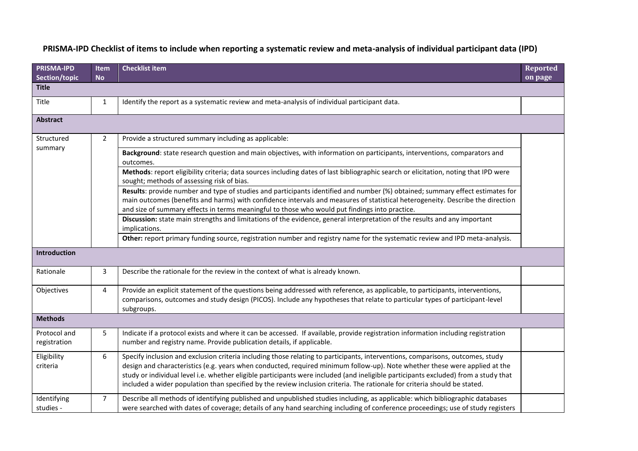| <b>PRISMA-IPD</b><br>Section/topic | Item<br><b>No</b> | <b>Checklist item</b>                                                                                                                                                                                                                                                                                                                                                                                                                                                                                                            | <b>Reported</b><br>on page |
|------------------------------------|-------------------|----------------------------------------------------------------------------------------------------------------------------------------------------------------------------------------------------------------------------------------------------------------------------------------------------------------------------------------------------------------------------------------------------------------------------------------------------------------------------------------------------------------------------------|----------------------------|
| <b>Title</b>                       |                   |                                                                                                                                                                                                                                                                                                                                                                                                                                                                                                                                  |                            |
| Title                              | 1                 | Identify the report as a systematic review and meta-analysis of individual participant data.                                                                                                                                                                                                                                                                                                                                                                                                                                     |                            |
| <b>Abstract</b>                    |                   |                                                                                                                                                                                                                                                                                                                                                                                                                                                                                                                                  |                            |
| Structured<br>summary              | $\overline{2}$    | Provide a structured summary including as applicable:                                                                                                                                                                                                                                                                                                                                                                                                                                                                            |                            |
|                                    |                   | Background: state research question and main objectives, with information on participants, interventions, comparators and<br>outcomes.                                                                                                                                                                                                                                                                                                                                                                                           |                            |
|                                    |                   | Methods: report eligibility criteria; data sources including dates of last bibliographic search or elicitation, noting that IPD were<br>sought; methods of assessing risk of bias.                                                                                                                                                                                                                                                                                                                                               |                            |
|                                    |                   | Results: provide number and type of studies and participants identified and number (%) obtained; summary effect estimates for<br>main outcomes (benefits and harms) with confidence intervals and measures of statistical heterogeneity. Describe the direction<br>and size of summary effects in terms meaningful to those who would put findings into practice.                                                                                                                                                                |                            |
|                                    |                   | Discussion: state main strengths and limitations of the evidence, general interpretation of the results and any important<br>implications.                                                                                                                                                                                                                                                                                                                                                                                       |                            |
|                                    |                   | Other: report primary funding source, registration number and registry name for the systematic review and IPD meta-analysis.                                                                                                                                                                                                                                                                                                                                                                                                     |                            |
| Introduction                       |                   |                                                                                                                                                                                                                                                                                                                                                                                                                                                                                                                                  |                            |
| Rationale                          | 3                 | Describe the rationale for the review in the context of what is already known.                                                                                                                                                                                                                                                                                                                                                                                                                                                   |                            |
| Objectives                         | 4                 | Provide an explicit statement of the questions being addressed with reference, as applicable, to participants, interventions,<br>comparisons, outcomes and study design (PICOS). Include any hypotheses that relate to particular types of participant-level<br>subgroups.                                                                                                                                                                                                                                                       |                            |
| <b>Methods</b>                     |                   |                                                                                                                                                                                                                                                                                                                                                                                                                                                                                                                                  |                            |
| Protocol and<br>registration       | 5                 | Indicate if a protocol exists and where it can be accessed. If available, provide registration information including registration<br>number and registry name. Provide publication details, if applicable.                                                                                                                                                                                                                                                                                                                       |                            |
| Eligibility<br>criteria            | 6                 | Specify inclusion and exclusion criteria including those relating to participants, interventions, comparisons, outcomes, study<br>design and characteristics (e.g. years when conducted, required minimum follow-up). Note whether these were applied at the<br>study or individual level i.e. whether eligible participants were included (and ineligible participants excluded) from a study that<br>included a wider population than specified by the review inclusion criteria. The rationale for criteria should be stated. |                            |
| Identifying<br>studies -           | $\overline{7}$    | Describe all methods of identifying published and unpublished studies including, as applicable: which bibliographic databases<br>were searched with dates of coverage; details of any hand searching including of conference proceedings; use of study registers                                                                                                                                                                                                                                                                 |                            |

## **PRISMA-IPD Checklist of items to include when reporting a systematic review and meta-analysis of individual participant data (IPD)**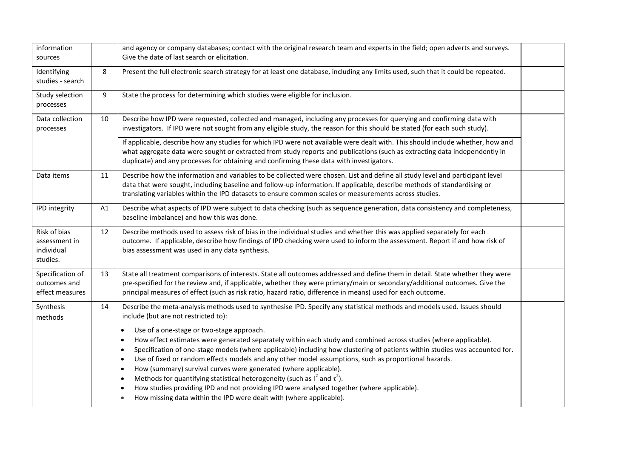| information<br>sources                                  |    | and agency or company databases; contact with the original research team and experts in the field; open adverts and surveys.<br>Give the date of last search or elicitation.                                                                                                                                                                                                                                                                                                                                                                                                                                                                                                                                                                                                                                                                                                                                                                                 |  |
|---------------------------------------------------------|----|--------------------------------------------------------------------------------------------------------------------------------------------------------------------------------------------------------------------------------------------------------------------------------------------------------------------------------------------------------------------------------------------------------------------------------------------------------------------------------------------------------------------------------------------------------------------------------------------------------------------------------------------------------------------------------------------------------------------------------------------------------------------------------------------------------------------------------------------------------------------------------------------------------------------------------------------------------------|--|
| Identifying<br>studies - search                         | 8  | Present the full electronic search strategy for at least one database, including any limits used, such that it could be repeated.                                                                                                                                                                                                                                                                                                                                                                                                                                                                                                                                                                                                                                                                                                                                                                                                                            |  |
| Study selection<br>processes                            | 9  | State the process for determining which studies were eligible for inclusion.                                                                                                                                                                                                                                                                                                                                                                                                                                                                                                                                                                                                                                                                                                                                                                                                                                                                                 |  |
| Data collection<br>processes                            | 10 | Describe how IPD were requested, collected and managed, including any processes for querying and confirming data with<br>investigators. If IPD were not sought from any eligible study, the reason for this should be stated (for each such study).                                                                                                                                                                                                                                                                                                                                                                                                                                                                                                                                                                                                                                                                                                          |  |
|                                                         |    | If applicable, describe how any studies for which IPD were not available were dealt with. This should include whether, how and<br>what aggregate data were sought or extracted from study reports and publications (such as extracting data independently in<br>duplicate) and any processes for obtaining and confirming these data with investigators.                                                                                                                                                                                                                                                                                                                                                                                                                                                                                                                                                                                                     |  |
| Data items                                              | 11 | Describe how the information and variables to be collected were chosen. List and define all study level and participant level<br>data that were sought, including baseline and follow-up information. If applicable, describe methods of standardising or<br>translating variables within the IPD datasets to ensure common scales or measurements across studies.                                                                                                                                                                                                                                                                                                                                                                                                                                                                                                                                                                                           |  |
| IPD integrity                                           | A1 | Describe what aspects of IPD were subject to data checking (such as sequence generation, data consistency and completeness,<br>baseline imbalance) and how this was done.                                                                                                                                                                                                                                                                                                                                                                                                                                                                                                                                                                                                                                                                                                                                                                                    |  |
| Risk of bias<br>assessment in<br>individual<br>studies. | 12 | Describe methods used to assess risk of bias in the individual studies and whether this was applied separately for each<br>outcome. If applicable, describe how findings of IPD checking were used to inform the assessment. Report if and how risk of<br>bias assessment was used in any data synthesis.                                                                                                                                                                                                                                                                                                                                                                                                                                                                                                                                                                                                                                                    |  |
| Specification of<br>outcomes and<br>effect measures     | 13 | State all treatment comparisons of interests. State all outcomes addressed and define them in detail. State whether they were<br>pre-specified for the review and, if applicable, whether they were primary/main or secondary/additional outcomes. Give the<br>principal measures of effect (such as risk ratio, hazard ratio, difference in means) used for each outcome.                                                                                                                                                                                                                                                                                                                                                                                                                                                                                                                                                                                   |  |
| Synthesis<br>methods                                    | 14 | Describe the meta-analysis methods used to synthesise IPD. Specify any statistical methods and models used. Issues should<br>include (but are not restricted to):<br>Use of a one-stage or two-stage approach.<br>$\bullet$<br>How effect estimates were generated separately within each study and combined across studies (where applicable).<br>$\bullet$<br>Specification of one-stage models (where applicable) including how clustering of patients within studies was accounted for.<br>٠<br>Use of fixed or random effects models and any other model assumptions, such as proportional hazards.<br>$\bullet$<br>How (summary) survival curves were generated (where applicable).<br>٠<br>Methods for quantifying statistical heterogeneity (such as $I^2$ and $\tau^2$ ).<br>٠<br>How studies providing IPD and not providing IPD were analysed together (where applicable).<br>How missing data within the IPD were dealt with (where applicable). |  |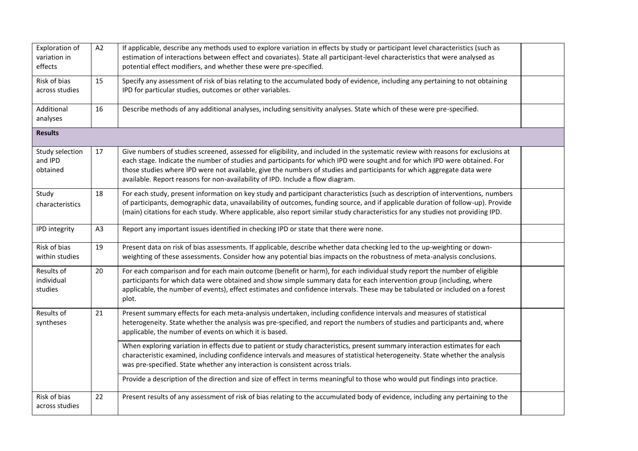| Exploration of<br>variation in<br>effects | A2             | If applicable, describe any methods used to explore variation in effects by study or participant level characteristics (such as<br>estimation of interactions between effect and covariates). State all participant-level characteristics that were analysed as<br>potential effect modifiers, and whether these were pre-specified.                                                                                                                                       |  |
|-------------------------------------------|----------------|----------------------------------------------------------------------------------------------------------------------------------------------------------------------------------------------------------------------------------------------------------------------------------------------------------------------------------------------------------------------------------------------------------------------------------------------------------------------------|--|
| Risk of bias<br>across studies            | 15             | Specify any assessment of risk of bias relating to the accumulated body of evidence, including any pertaining to not obtaining<br>IPD for particular studies, outcomes or other variables.                                                                                                                                                                                                                                                                                 |  |
| Additional<br>analyses                    | 16             | Describe methods of any additional analyses, including sensitivity analyses. State which of these were pre-specified.                                                                                                                                                                                                                                                                                                                                                      |  |
| <b>Results</b>                            |                |                                                                                                                                                                                                                                                                                                                                                                                                                                                                            |  |
| Study selection<br>and IPD<br>obtained    | 17             | Give numbers of studies screened, assessed for eligibility, and included in the systematic review with reasons for exclusions at<br>each stage. Indicate the number of studies and participants for which IPD were sought and for which IPD were obtained. For<br>those studies where IPD were not available, give the numbers of studies and participants for which aggregate data were<br>available. Report reasons for non-availability of IPD. Include a flow diagram. |  |
| Study<br>characteristics                  | 18             | For each study, present information on key study and participant characteristics (such as description of interventions, numbers<br>of participants, demographic data, unavailability of outcomes, funding source, and if applicable duration of follow-up). Provide<br>(main) citations for each study. Where applicable, also report similar study characteristics for any studies not providing IPD.                                                                     |  |
| IPD integrity                             | A <sub>3</sub> | Report any important issues identified in checking IPD or state that there were none.                                                                                                                                                                                                                                                                                                                                                                                      |  |
| Risk of bias<br>within studies            | 19             | Present data on risk of bias assessments. If applicable, describe whether data checking led to the up-weighting or down-<br>weighting of these assessments. Consider how any potential bias impacts on the robustness of meta-analysis conclusions.                                                                                                                                                                                                                        |  |
| Results of<br>individual<br>studies       | 20             | For each comparison and for each main outcome (benefit or harm), for each individual study report the number of eligible<br>participants for which data were obtained and show simple summary data for each intervention group (including, where<br>applicable, the number of events), effect estimates and confidence intervals. These may be tabulated or included on a forest<br>plot.                                                                                  |  |
| Results of<br>syntheses                   | 21             | Present summary effects for each meta-analysis undertaken, including confidence intervals and measures of statistical<br>heterogeneity. State whether the analysis was pre-specified, and report the numbers of studies and participants and, where<br>applicable, the number of events on which it is based.                                                                                                                                                              |  |
|                                           |                | When exploring variation in effects due to patient or study characteristics, present summary interaction estimates for each<br>characteristic examined, including confidence intervals and measures of statistical heterogeneity. State whether the analysis<br>was pre-specified. State whether any interaction is consistent across trials.                                                                                                                              |  |
|                                           |                | Provide a description of the direction and size of effect in terms meaningful to those who would put findings into practice.                                                                                                                                                                                                                                                                                                                                               |  |
| Risk of bias<br>across studies            | 22             | Present results of any assessment of risk of bias relating to the accumulated body of evidence, including any pertaining to the                                                                                                                                                                                                                                                                                                                                            |  |